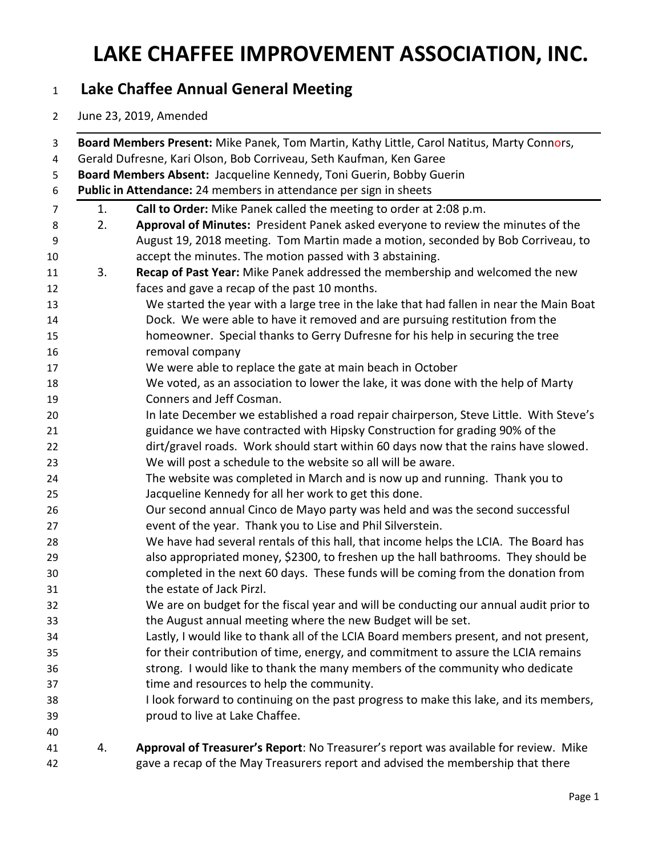#### **Lake Chaffee Annual General Meeting**

June 23, 2019, Amended

| Board Members Absent: Jacqueline Kennedy, Toni Guerin, Bobby Guerin<br>Public in Attendance: 24 members in attendance per sign in sheets |                                                                                                                                                                            |
|------------------------------------------------------------------------------------------------------------------------------------------|----------------------------------------------------------------------------------------------------------------------------------------------------------------------------|
| 1.                                                                                                                                       | Call to Order: Mike Panek called the meeting to order at 2:08 p.m.                                                                                                         |
| 2.                                                                                                                                       | Approval of Minutes: President Panek asked everyone to review the minutes of the<br>August 19, 2018 meeting. Tom Martin made a motion, seconded by Bob Corriveau, to       |
|                                                                                                                                          | accept the minutes. The motion passed with 3 abstaining.                                                                                                                   |
| 3.                                                                                                                                       | Recap of Past Year: Mike Panek addressed the membership and welcomed the new                                                                                               |
|                                                                                                                                          | faces and gave a recap of the past 10 months.                                                                                                                              |
|                                                                                                                                          | We started the year with a large tree in the lake that had fallen in near the Main Boat                                                                                    |
|                                                                                                                                          | Dock. We were able to have it removed and are pursuing restitution from the<br>homeowner. Special thanks to Gerry Dufresne for his help in securing the tree               |
|                                                                                                                                          | removal company                                                                                                                                                            |
|                                                                                                                                          | We were able to replace the gate at main beach in October                                                                                                                  |
|                                                                                                                                          | We voted, as an association to lower the lake, it was done with the help of Marty                                                                                          |
|                                                                                                                                          | Conners and Jeff Cosman.                                                                                                                                                   |
|                                                                                                                                          | In late December we established a road repair chairperson, Steve Little. With Steve's                                                                                      |
|                                                                                                                                          | guidance we have contracted with Hipsky Construction for grading 90% of the                                                                                                |
|                                                                                                                                          | dirt/gravel roads. Work should start within 60 days now that the rains have slowed.                                                                                        |
|                                                                                                                                          | We will post a schedule to the website so all will be aware.                                                                                                               |
|                                                                                                                                          | The website was completed in March and is now up and running. Thank you to<br>Jacqueline Kennedy for all her work to get this done.                                        |
|                                                                                                                                          |                                                                                                                                                                            |
|                                                                                                                                          | event of the year. Thank you to Lise and Phil Silverstein.                                                                                                                 |
|                                                                                                                                          | We have had several rentals of this hall, that income helps the LCIA. The Board has                                                                                        |
|                                                                                                                                          | also appropriated money, \$2300, to freshen up the hall bathrooms. They should be                                                                                          |
|                                                                                                                                          | completed in the next 60 days. These funds will be coming from the donation from                                                                                           |
|                                                                                                                                          | the estate of Jack Pirzl.                                                                                                                                                  |
|                                                                                                                                          | We are on budget for the fiscal year and will be conducting our annual audit prior to                                                                                      |
|                                                                                                                                          | the August annual meeting where the new Budget will be set.                                                                                                                |
|                                                                                                                                          | Lastly, I would like to thank all of the LCIA Board members present, and not present,<br>for their contribution of time, energy, and commitment to assure the LCIA remains |
|                                                                                                                                          | strong. I would like to thank the many members of the community who dedicate                                                                                               |
|                                                                                                                                          | time and resources to help the community.                                                                                                                                  |
|                                                                                                                                          | I look forward to continuing on the past progress to make this lake, and its members,                                                                                      |
|                                                                                                                                          | proud to live at Lake Chaffee.                                                                                                                                             |
|                                                                                                                                          |                                                                                                                                                                            |
| 4.                                                                                                                                       | Approval of Treasurer's Report: No Treasurer's report was available for review. Mike                                                                                       |
|                                                                                                                                          | gave a recap of the May Treasurers report and advised the membership that there                                                                                            |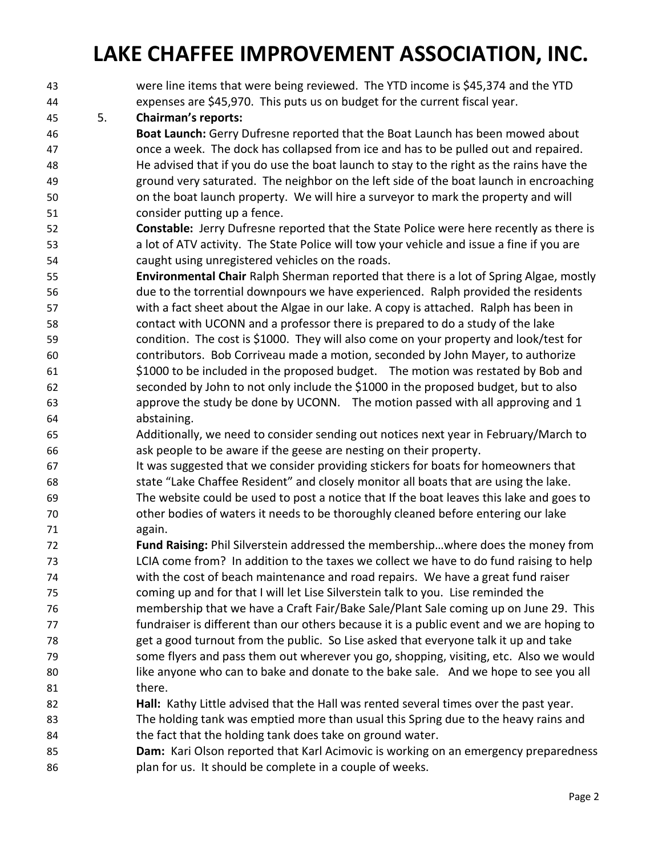- were line items that were being reviewed. The YTD income is \$45,374 and the YTD expenses are \$45,970. This puts us on budget for the current fiscal year. 5. **Chairman's reports: Boat Launch:** Gerry Dufresne reported that the Boat Launch has been mowed about once a week. The dock has collapsed from ice and has to be pulled out and repaired. He advised that if you do use the boat launch to stay to the right as the rains have the ground very saturated. The neighbor on the left side of the boat launch in encroaching on the boat launch property. We will hire a surveyor to mark the property and will consider putting up a fence. **Constable:** Jerry Dufresne reported that the State Police were here recently as there is a lot of ATV activity. The State Police will tow your vehicle and issue a fine if you are caught using unregistered vehicles on the roads. **Environmental Chair** Ralph Sherman reported that there is a lot of Spring Algae, mostly due to the torrential downpours we have experienced. Ralph provided the residents with a fact sheet about the Algae in our lake. A copy is attached. Ralph has been in contact with UCONN and a professor there is prepared to do a study of the lake condition. The cost is \$1000. They will also come on your property and look/test for contributors. Bob Corriveau made a motion, seconded by John Mayer, to authorize \$1000 to be included in the proposed budget. The motion was restated by Bob and seconded by John to not only include the \$1000 in the proposed budget, but to also approve the study be done by UCONN. The motion passed with all approving and 1 abstaining. Additionally, we need to consider sending out notices next year in February/March to ask people to be aware if the geese are nesting on their property. It was suggested that we consider providing stickers for boats for homeowners that state "Lake Chaffee Resident" and closely monitor all boats that are using the lake. The website could be used to post a notice that If the boat leaves this lake and goes to other bodies of waters it needs to be thoroughly cleaned before entering our lake again. **Fund Raising:** Phil Silverstein addressed the membership…where does the money from LCIA come from? In addition to the taxes we collect we have to do fund raising to help with the cost of beach maintenance and road repairs. We have a great fund raiser coming up and for that I will let Lise Silverstein talk to you. Lise reminded the membership that we have a Craft Fair/Bake Sale/Plant Sale coming up on June 29. This fundraiser is different than our others because it is a public event and we are hoping to get a good turnout from the public. So Lise asked that everyone talk it up and take some flyers and pass them out wherever you go, shopping, visiting, etc. Also we would 80 like anyone who can to bake and donate to the bake sale. And we hope to see you all 81 there. **Hall:** Kathy Little advised that the Hall was rented several times over the past year. The holding tank was emptied more than usual this Spring due to the heavy rains and the fact that the holding tank does take on ground water. **Dam:** Kari Olson reported that Karl Acimovic is working on an emergency preparedness
- plan for us. It should be complete in a couple of weeks.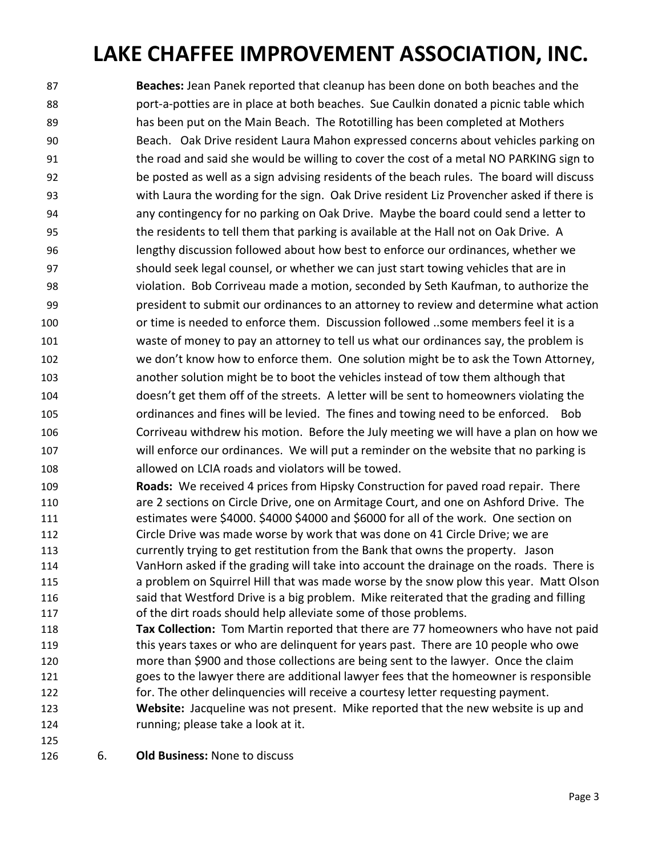**Beaches:** Jean Panek reported that cleanup has been done on both beaches and the port-a-potties are in place at both beaches. Sue Caulkin donated a picnic table which has been put on the Main Beach. The Rototilling has been completed at Mothers Beach. Oak Drive resident Laura Mahon expressed concerns about vehicles parking on 91 the road and said she would be willing to cover the cost of a metal NO PARKING sign to be posted as well as a sign advising residents of the beach rules. The board will discuss with Laura the wording for the sign. Oak Drive resident Liz Provencher asked if there is any contingency for no parking on Oak Drive. Maybe the board could send a letter to 95 the residents to tell them that parking is available at the Hall not on Oak Drive. A lengthy discussion followed about how best to enforce our ordinances, whether we should seek legal counsel, or whether we can just start towing vehicles that are in violation. Bob Corriveau made a motion, seconded by Seth Kaufman, to authorize the president to submit our ordinances to an attorney to review and determine what action or time is needed to enforce them. Discussion followed ..some members feel it is a waste of money to pay an attorney to tell us what our ordinances say, the problem is we don't know how to enforce them. One solution might be to ask the Town Attorney, another solution might be to boot the vehicles instead of tow them although that doesn't get them off of the streets. A letter will be sent to homeowners violating the ordinances and fines will be levied. The fines and towing need to be enforced. Bob Corriveau withdrew his motion. Before the July meeting we will have a plan on how we will enforce our ordinances. We will put a reminder on the website that no parking is allowed on LCIA roads and violators will be towed.

- **Roads:** We received 4 prices from Hipsky Construction for paved road repair. There are 2 sections on Circle Drive, one on Armitage Court, and one on Ashford Drive. The estimates were \$4000. \$4000 \$4000 and \$6000 for all of the work. One section on Circle Drive was made worse by work that was done on 41 Circle Drive; we are currently trying to get restitution from the Bank that owns the property. Jason VanHorn asked if the grading will take into account the drainage on the roads. There is a problem on Squirrel Hill that was made worse by the snow plow this year. Matt Olson 116 said that Westford Drive is a big problem. Mike reiterated that the grading and filling of the dirt roads should help alleviate some of those problems.
- **Tax Collection:** Tom Martin reported that there are 77 homeowners who have not paid this years taxes or who are delinquent for years past. There are 10 people who owe more than \$900 and those collections are being sent to the lawyer. Once the claim goes to the lawyer there are additional lawyer fees that the homeowner is responsible for. The other delinquencies will receive a courtesy letter requesting payment. **Website:** Jacqueline was not present. Mike reported that the new website is up and running; please take a look at it.
- 
- 6. **Old Business:** None to discuss